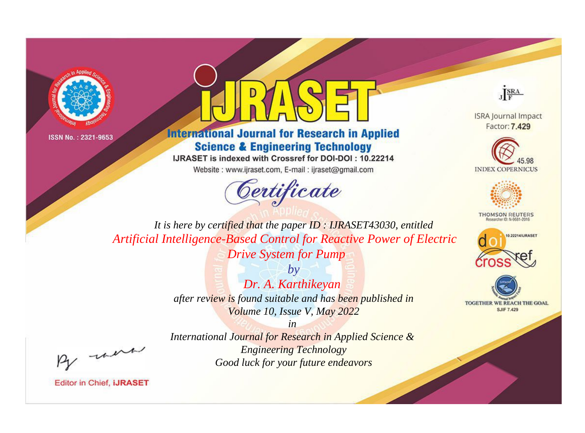



**International Journal for Research in Applied Science & Engineering Technology** 

IJRASET is indexed with Crossref for DOI-DOI: 10.22214

Website: www.ijraset.com, E-mail: ijraset@gmail.com





**ISRA Journal Impact** Factor: 7.429





**THOMSON REUTERS** 



TOGETHER WE REACH THE GOAL **SJIF 7.429** 

*It is here by certified that the paper ID : IJRASET43030, entitled Artificial Intelligence-Based Control for Reactive Power of Electric Drive System for Pump*

> *by Dr. A. Karthikeyan after review is found suitable and has been published in Volume 10, Issue V, May 2022*

, un

*International Journal for Research in Applied Science & Engineering Technology Good luck for your future endeavors*

*in*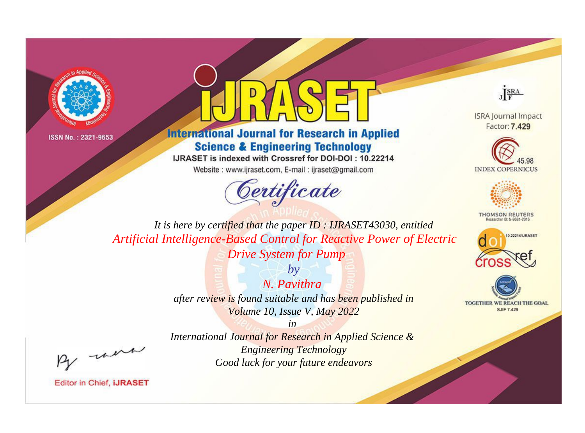



**International Journal for Research in Applied Science & Engineering Technology** 

IJRASET is indexed with Crossref for DOI-DOI: 10.22214

Website: www.ijraset.com, E-mail: ijraset@gmail.com



JERA

**ISRA Journal Impact** Factor: 7.429





**THOMSON REUTERS** 



TOGETHER WE REACH THE GOAL **SJIF 7.429** 

It is here by certified that the paper ID: IJRASET43030, entitled Artificial Intelligence-Based Control for Reactive Power of Electric **Drive System for Pump** 

> $N$  Pavithra after review is found suitable and has been published in Volume 10, Issue V, May 2022

 $b\nu$ 

were

International Journal for Research in Applied Science & **Engineering Technology** Good luck for your future endeavors

 $in$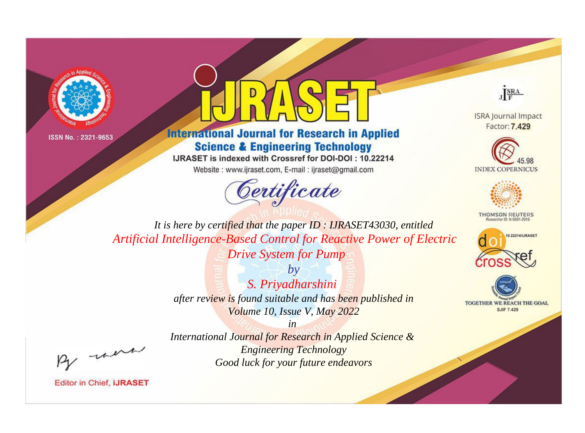



**International Journal for Research in Applied Science & Engineering Technology** 

IJRASET is indexed with Crossref for DOI-DOI: 10.22214

Website: www.ijraset.com, E-mail: ijraset@gmail.com





**ISRA Journal Impact** Factor: 7.429





**THOMSON REUTERS** 



TOGETHER WE REACH THE GOAL **SJIF 7.429** 

*It is here by certified that the paper ID : IJRASET43030, entitled Artificial Intelligence-Based Control for Reactive Power of Electric Drive System for Pump*

> *by S. Priyadharshini after review is found suitable and has been published in Volume 10, Issue V, May 2022*

, were

*International Journal for Research in Applied Science & Engineering Technology Good luck for your future endeavors*

*in*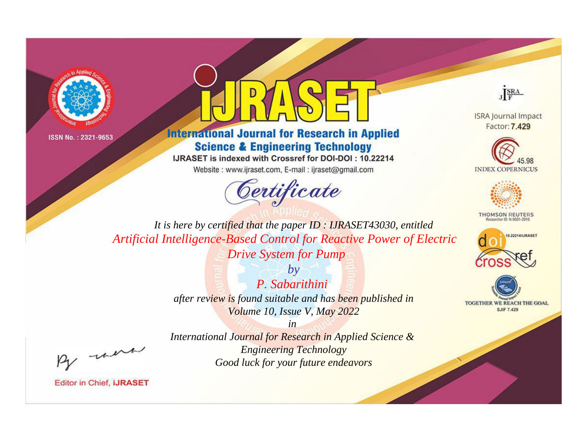



**International Journal for Research in Applied Science & Engineering Technology** 

IJRASET is indexed with Crossref for DOI-DOI: 10.22214

Website: www.ijraset.com, E-mail: ijraset@gmail.com





**ISRA Journal Impact** Factor: 7.429





**THOMSON REUTERS** 



TOGETHER WE REACH THE GOAL **SJIF 7.429** 

*It is here by certified that the paper ID : IJRASET43030, entitled Artificial Intelligence-Based Control for Reactive Power of Electric Drive System for Pump*

> *by P. Sabarithini after review is found suitable and has been published in Volume 10, Issue V, May 2022*

> > *in*

*International Journal for Research in Applied Science & Engineering Technology Good luck for your future endeavors*

, were